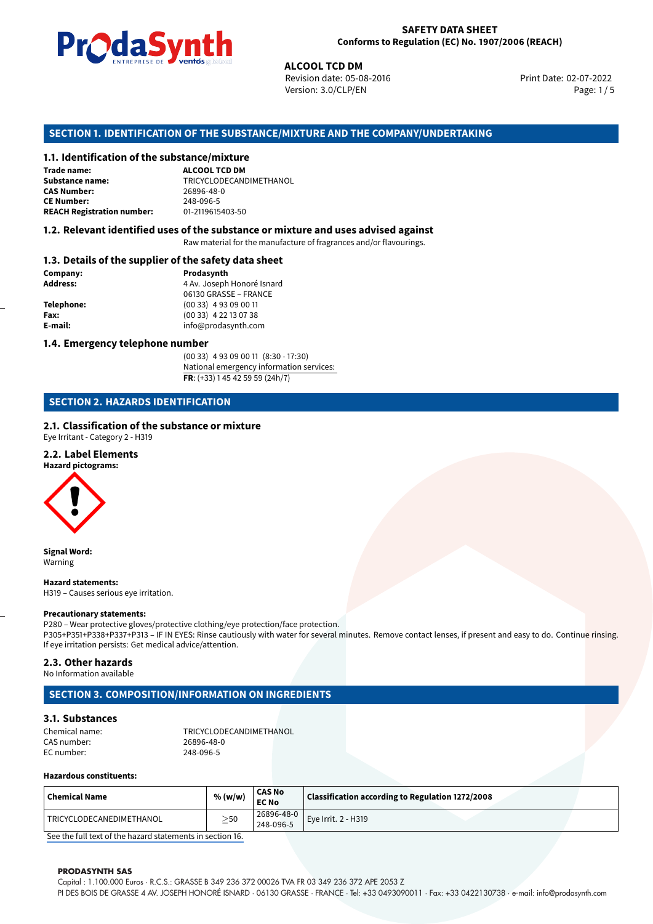

Revision date: 05-08-2016 Version: 3.0/CLP/EN Page: 1/5

Print Date: 02-07-2022

# **ALCOOL TCD DM**<br> **ALCOOL TCD DM**<br> **ACOOL TCD DM**<br> **ACOOL TCD DM**<br> **ACOOL TCD DM**<br> **ACCOOL TCD DM SECTION 1. IDENTIFICATION OF THE SUBSTANCE/MIXTURE AND THE COMPANY/UNDERTAKING**

#### **1.1. Identification of the substance/mixture**

**Trade name: Substance name:** TRICYCLODECANDIMETHANOL **CAS Number: CE Number:** 248-096-5 **REACH Registration number:** 

#### **1.2. Relevant identified uses of the substance or mixture and uses advised against**

Raw material for the manufacture of fragrances and/or flavourings.

#### **1.3. Details of the supplier of the safety data sheet**

| Prodasynth                 |  |  |
|----------------------------|--|--|
| 4 Av. Joseph Honoré Isnard |  |  |
| 06130 GRASSE - FRANCE      |  |  |
| $(0033)$ 4 93 09 00 11     |  |  |
| $(0033)$ 4 22 13 07 38     |  |  |
| info@prodasynth.com        |  |  |
|                            |  |  |

#### **1.4. Emergency telephone number**

(00 33) 4 93 09 00 11 (8:30 - 17:30) National emergency information services: **FR**: (+33) 1 45 42 59 59 (24h/7)

#### **SECTION 2. HAZARDS IDENTIFICATION**

#### **2.1. Classification of the substance or mixture**

Eye Irritant - Category 2 - H319

#### **2.2. Label Elements**

**Hazard pictograms:**



**Signal Word:** Warning

**Hazard statements:** H319 – Causes serious eye irritation.

#### **Precautionary statements:**

P280 – Wear protective gloves/protective clothing/eye protection/face protection. P305+P351+P338+P337+P313 – IF IN EYES: Rinse cautiously with water for several minutes. Remove contact lenses, if present and easy to do. Continue rinsing. If eye irritation persists: Get medical advice/attention.

#### **2.3. Other hazards**

No Information available

#### **SECTION 3. COMPOSITION/INFORMATION ON INGREDIENTS**

#### **3.1. Substances**

| Chemical name: | TRICYCLODECANDIMETHANOL |  |
|----------------|-------------------------|--|
| CAS number:    | 26896-48-0              |  |
| EC number:     | 248-096-5               |  |

#### **Hazardous constituents:**

| <b>Chemical Name</b>     | % (w/w)  | <b>CAS No</b><br><b>EC No</b> | Classification according to Regulation 1272/2008 |
|--------------------------|----------|-------------------------------|--------------------------------------------------|
| TRICYCLODECANEDIMETHANOL | >50<br>- | 26896-48-0<br>$248-096-5$     | Eye Irrit. 2 - H319                              |

[See the full text of the hazard statements in section 16.](#page--1-0)

#### **PRODASYNTH SAS**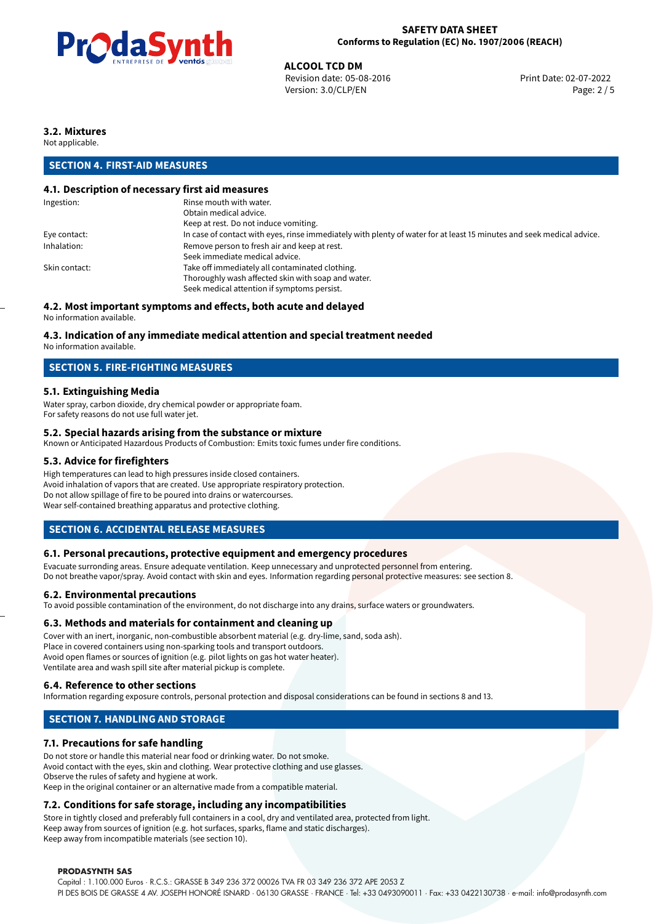

**ALCOOL TCD DM**<br>
Revision date: 05-08-2016 **Print Date: 02-07-2022** Print Date: 02-07-2022 Version: 3.0/CLP/EN Page: 2 / 5

## **3.2. Mixtures**

Not applicable.

#### **SECTION 4. FIRST-AID MEASURES**

#### **4.1. Description of necessary first aid measures**

| Ingestion:    | Rinse mouth with water.                                                                                               |
|---------------|-----------------------------------------------------------------------------------------------------------------------|
|               | Obtain medical advice.                                                                                                |
|               | Keep at rest. Do not induce vomiting.                                                                                 |
| Eye contact:  | In case of contact with eyes, rinse immediately with plenty of water for at least 15 minutes and seek medical advice. |
| Inhalation:   | Remove person to fresh air and keep at rest.                                                                          |
|               | Seek immediate medical advice.                                                                                        |
| Skin contact: | Take off immediately all contaminated clothing.                                                                       |
|               | Thoroughly wash affected skin with soap and water.                                                                    |
|               | Seek medical attention if symptoms persist.                                                                           |
|               |                                                                                                                       |

#### **4.2. Most important symptoms and effects, both acute and delayed**

No information available.

#### **4.3. Indication of any immediate medical attention and special treatment needed**

No information available.

#### **SECTION 5. FIRE-FIGHTING MEASURES**

#### **5.1. Extinguishing Media**

Water spray, carbon dioxide, dry chemical powder or appropriate foam. For safety reasons do not use full water jet.

#### **5.2. Special hazards arising from the substance or mixture**

Known or Anticipated Hazardous Products of Combustion: Emits toxic fumes under fire conditions.

#### **5.3. Advice for firefighters**

High temperatures can lead to high pressures inside closed containers. Avoid inhalation of vapors that are created. Use appropriate respiratory protection. Do not allow spillage of fire to be poured into drains or watercourses. Wear self-contained breathing apparatus and protective clothing.

#### **SECTION 6. ACCIDENTAL RELEASE MEASURES**

#### **6.1. Personal precautions, protective equipment and emergency procedures**

Evacuate surronding areas. Ensure adequate ventilation. Keep unnecessary and unprotected personnel from entering. Do not breathe vapor/spray. Avoid contact with skin and eyes. Information regarding personal protective measures: see section 8.

#### **6.2. Environmental precautions**

To avoid possible contamination of the environment, do not discharge into any drains, surface waters or groundwaters.

#### **6.3. Methods and materials for containment and cleaning up**

Cover with an inert, inorganic, non-combustible absorbent material (e.g. dry-lime, sand, soda ash). Place in covered containers using non-sparking tools and transport outdoors. Avoid open flames or sources of ignition (e.g. pilot lights on gas hot water heater). Ventilate area and wash spill site after material pickup is complete.

#### **6.4. Reference to other sections**

Information regarding exposure controls, personal protection and disposal considerations can be found in sections 8 and 13.

## **SECTION 7. HANDLING AND STORAGE**

#### **7.1. Precautions for safe handling**

Do not store or handle this material near food or drinking water. Do not smoke. Avoid contact with the eyes, skin and clothing. Wear protective clothing and use glasses. Observe the rules of safety and hygiene at work. Keep in the original container or an alternative made from a compatible material.

#### **7.2. Conditions for safe storage, including any incompatibilities**

Store in tightly closed and preferably full containers in a cool, dry and ventilated area, protected from light. Keep away from sources of ignition (e.g. hot surfaces, sparks, flame and static discharges). Keep away from incompatible materials (see section 10).

#### **PRODASYNTH SAS**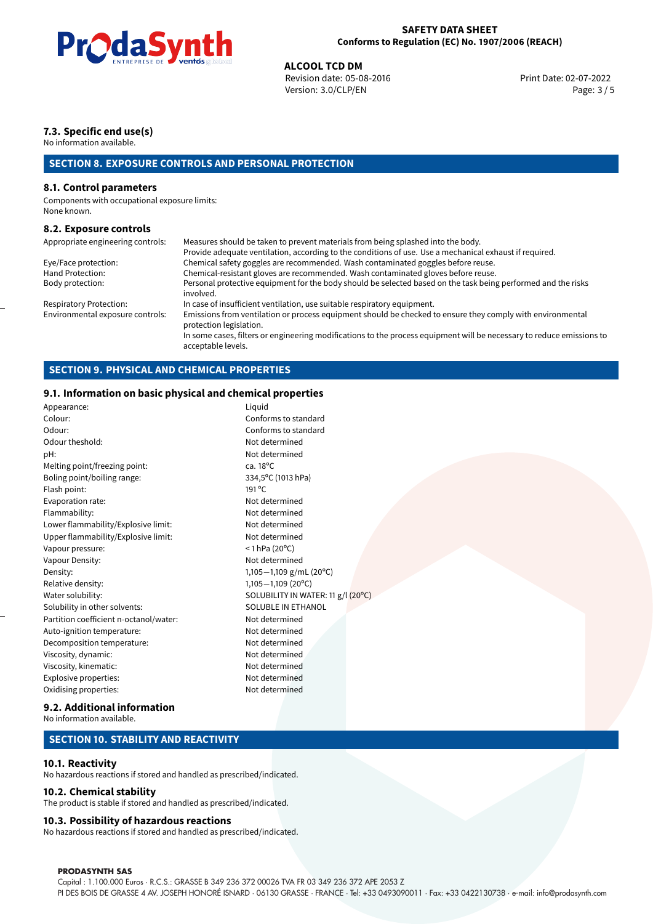

**ALCOOL TCD DM**<br>
Revision date: 05-08-2016 **Print Date: 02-07-2022** Print Date: 02-07-2022 Version: 3.0/CLP/EN Page: 3 / 5

## **7.3. Specific end use(s)**

No information available.

## **SECTION 8. EXPOSURE CONTROLS AND PERSONAL PROTECTION**

#### **8.1. Control parameters**

Components with occupational exposure limits: None known.

#### **8.2. Exposure controls**

| Appropriate engineering controls: | Measures should be taken to prevent materials from being splashed into the body.                                                            |
|-----------------------------------|---------------------------------------------------------------------------------------------------------------------------------------------|
|                                   | Provide adequate ventilation, according to the conditions of use. Use a mechanical exhaust if required.                                     |
| Eye/Face protection:              | Chemical safety goggles are recommended. Wash contaminated goggles before reuse.                                                            |
| Hand Protection:                  | Chemical-resistant gloves are recommended. Wash contaminated gloves before reuse.                                                           |
| Body protection:                  | Personal protective equipment for the body should be selected based on the task being performed and the risks<br>involved.                  |
| Respiratory Protection:           | In case of insufficient ventilation, use suitable respiratory equipment.                                                                    |
| Environmental exposure controls:  | Emissions from ventilation or process equipment should be checked to ensure they comply with environmental<br>protection legislation.       |
|                                   | In some cases, filters or engineering modifications to the process equipment will be necessary to reduce emissions to<br>acceptable levels. |

#### **SECTION 9. PHYSICAL AND CHEMICAL PROPERTIES**

#### **9.1. Information on basic physical and chemical properties**

| Appearance:                            | Liquid                             |
|----------------------------------------|------------------------------------|
| Colour:                                | Conforms to standard               |
| Odour:                                 | Conforms to standard               |
| Odour theshold:                        | Not determined                     |
| pH:                                    | Not determined                     |
| Melting point/freezing point:          | ca. $18^{\circ}$ C                 |
| Boling point/boiling range:            | 334,5°C (1013 hPa)                 |
| Flash point:                           | 191 °C                             |
| Evaporation rate:                      | Not determined                     |
| Flammability:                          | Not determined                     |
| Lower flammability/Explosive limit:    | Not determined                     |
| Upper flammability/Explosive limit:    | Not determined                     |
| Vapour pressure:                       | $<$ 1 hPa (20 $^{\circ}$ C)        |
| Vapour Density:                        | Not determined                     |
| Density:                               | 1,105-1,109 g/mL (20°C)            |
| Relative density:                      | $1,105 - 1,109$ (20°C)             |
| Water solubility:                      | SOLUBILITY IN WATER: 11 g/l (20°C) |
| Solubility in other solvents:          | SOLUBLE IN ETHANOL                 |
| Partition coefficient n-octanol/water: | Not determined                     |
| Auto-ignition temperature:             | Not determined                     |
| Decomposition temperature:             | Not determined                     |
| Viscosity, dynamic:                    | Not determined                     |
| Viscosity, kinematic:                  | Not determined                     |
| Explosive properties:                  | Not determined                     |
| Oxidising properties:                  | Not determined                     |
|                                        |                                    |

#### **9.2. Additional information**

No information available.

#### **SECTION 10. STABILITY AND REACTIVITY**

#### **10.1. Reactivity**

No hazardous reactions if stored and handled as prescribed/indicated.

#### **10.2. Chemical stability**

The product is stable if stored and handled as prescribed/indicated.

#### **10.3. Possibility of hazardous reactions**

No hazardous reactions if stored and handled as prescribed/indicated.

#### **PRODASYNTH SAS**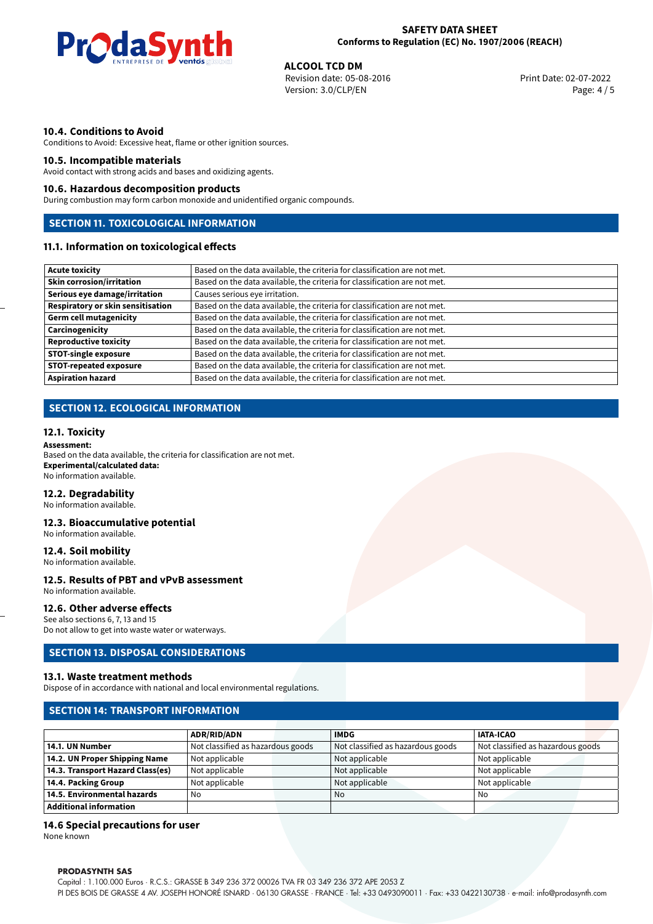

**ALCOOL TCD DM**<br>
Revision date: 05-08-2016 **Print Date: 02-07-2022** Print Date: 02-07-2022 Version: 3.0/CLP/EN Page: 4 / 5

#### **10.4. Conditions to Avoid**

Conditions to Avoid: Excessive heat, flame or other ignition sources.

#### **10.5. Incompatible materials**

Avoid contact with strong acids and bases and oxidizing agents.

#### **10.6. Hazardous decomposition products**

During combustion may form carbon monoxide and unidentified organic compounds.

## **SECTION 11. TOXICOLOGICAL INFORMATION**

## **11.1. Information on toxicological effects**

| Acute toxicity                    | Based on the data available, the criteria for classification are not met. |
|-----------------------------------|---------------------------------------------------------------------------|
| <b>Skin corrosion/irritation</b>  | Based on the data available, the criteria for classification are not met. |
| Serious eye damage/irritation     | Causes serious eye irritation.                                            |
| Respiratory or skin sensitisation | Based on the data available, the criteria for classification are not met. |
| Germ cell mutagenicity            | Based on the data available, the criteria for classification are not met. |
| <b>Carcinogenicity</b>            | Based on the data available, the criteria for classification are not met. |
| Reproductive toxicity             | Based on the data available, the criteria for classification are not met. |
| STOT-single exposure              | Based on the data available, the criteria for classification are not met. |
| <b>STOT-repeated exposure</b>     | Based on the data available, the criteria for classification are not met. |
| Aspiration hazard                 | Based on the data available, the criteria for classification are not met. |

#### **SECTION 12. ECOLOGICAL INFORMATION**

#### **12.1. Toxicity**

#### **Assessment:**

Based on the data available, the criteria for classification are not met. **Experimental/calculated data:** No information available.

#### **12.2. Degradability**

No information available.

#### **12.3. Bioaccumulative potential**

No information available.

#### **12.4. Soil mobility**

No information available.

#### **12.5. Results of PBT and vPvB assessment** No information available.

#### **12.6. Other adverse effects**

See also sections 6, 7, 13 and 15 Do not allow to get into waste water or waterways.

#### **SECTION 13. DISPOSAL CONSIDERATIONS**

#### **13.1. Waste treatment methods**

Dispose of in accordance with national and local environmental regulations.

#### **SECTION 14: TRANSPORT INFORMATION**

|                                  | <b>ADR/RID/ADN</b>                | <b>IMDG</b>                       | <b>IATA-ICAO</b>                  |
|----------------------------------|-----------------------------------|-----------------------------------|-----------------------------------|
| 14.1. UN Number                  | Not classified as hazardous goods | Not classified as hazardous goods | Not classified as hazardous goods |
| 14.2. UN Proper Shipping Name    | Not applicable                    | Not applicable                    | Not applicable                    |
| 14.3. Transport Hazard Class(es) | Not applicable                    | Not applicable                    | Not applicable                    |
| 14.4. Packing Group              | Not applicable                    | Not applicable                    | Not applicable                    |
| 14.5. Environmental hazards      | No                                | No                                | No                                |
| Additional information           |                                   |                                   |                                   |

#### **14.6 Special precautions for user**

None known

#### **PRODASYNTH SAS**